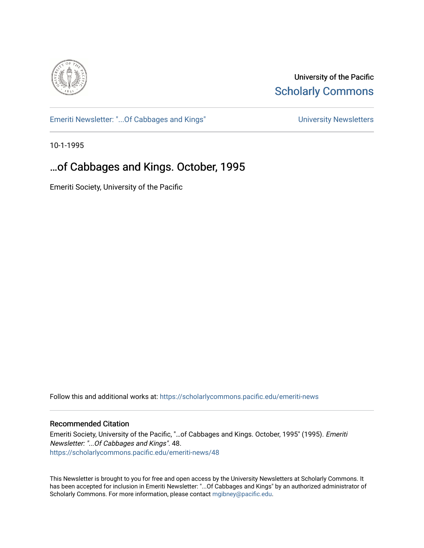

University of the Pacific **Scholarly Commons** 

[Emeriti Newsletter: "...Of Cabbages and Kings"](https://scholarlycommons.pacific.edu/emeriti-news) Newsletters University Newsletters

10-1-1995

# …of Cabbages and Kings. October, 1995

Emeriti Society, University of the Pacific

Follow this and additional works at: [https://scholarlycommons.pacific.edu/emeriti-news](https://scholarlycommons.pacific.edu/emeriti-news?utm_source=scholarlycommons.pacific.edu%2Femeriti-news%2F48&utm_medium=PDF&utm_campaign=PDFCoverPages)

#### Recommended Citation

Emeriti Society, University of the Pacific, "…of Cabbages and Kings. October, 1995" (1995). Emeriti Newsletter: "...Of Cabbages and Kings". 48. [https://scholarlycommons.pacific.edu/emeriti-news/48](https://scholarlycommons.pacific.edu/emeriti-news/48?utm_source=scholarlycommons.pacific.edu%2Femeriti-news%2F48&utm_medium=PDF&utm_campaign=PDFCoverPages) 

This Newsletter is brought to you for free and open access by the University Newsletters at Scholarly Commons. It has been accepted for inclusion in Emeriti Newsletter: "...Of Cabbages and Kings" by an authorized administrator of Scholarly Commons. For more information, please contact [mgibney@pacific.edu.](mailto:mgibney@pacific.edu)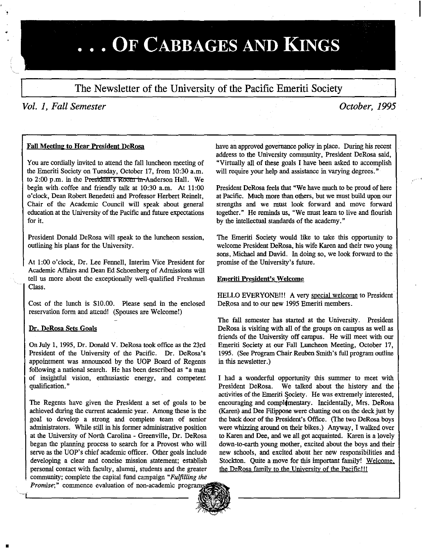# ... OF CABBAGES AND KINGS

The Newsletter of the University of the Pacific Emeriti Society

### *Vol. 1, Fall Semester*

## *October, 1995*

#### Fall Meeting to Hear President DeRosa

You are cordially invited to attend the fall luncheon meeting of the Emeriti Society on Tuesday, October 17, from 10:30 a.m. to 2:00 p.m. in the President's Room in Anderson Hall. We begin with coffee and friendly talk at 10:30 a.m. At 11:00 o'clock, Dean Robert Benedetti and Professor Herbert Reinelt, Chair of the Academic Council will speak about general education at the University of the Pacific and future expectations for it.

President Donald DeRosa will speak to the luncheon session, outlining his plans for the University.

At 1:00 o'clock, Dr. Lee Fennell, Interim Vice President for Academic Affairs and Dean Ed Schoenberg of Admissions will tell us more about the exceptionally well-qualified Freshman Class.

Cost of the lunch is \$10.00. Please send in the enclosed reservation form and attend! (Spouses are Welcome!)

#### Dr. DeRosa Sets Goals

•

On July 1, 1995, Dr. Donald V. DeRosa took office as the 23rd President of the University of the Pacific. Dr. DeRosa's appointment was announced by the UOP Board of Regents following a national search. He has been described as "a man of insightful vision, enthusiastic energy, and competent qualification."

The Regents have given the President a set of goals to be achieved during the current academic year. Among these is the goal to develop a strong and complete team of senior administrators. While still in his former administrative position at the University of North Carolina - Greenville, Dr. DeRosa began the plamting process to search for a Provost who will serve as the UOP's chief academic officer. Other goals include developing a clear and concise mission statement; establish personal contact with faculty, alunnti, students and the greater community; complete the capital fund campaign *"Fulfilling the Promise*;" commence evaluation of non-academic program

have an approved governance policy in place. During his recent address to the University community, President DeRosa said, "Virtnally all of these goals I have been asked to accomplish will require your help and assistance in varying degrees."

President DeRosa feels that "We have much to be proud of here at Pacific. Much more than others, but we must build upon our strengths and we must look forward and move forward together." He reminds us, "We must learn to live and flourish by the intellectual standards of the academy."

The Emeriti Society would like to take this opportunity to welcome President DeRosa, his wife Karen and their two young sons, Michael and David. In doing so, we look forward to the promise of the University's future.

#### Emeriti President's Welcome

HELLO EVERYONE!!! A very special welcome to President DeRosa and to our new 1995 Emeriti members.

The fall semester has started at the University. President DeRosa is visiting with all of the groups on campus as well as friends of the University off campus. He will meet with our Emeriti Society at our Fall Luncheon Meeting, October 17, 1995. (See Program Chair Reubeo Smith's full program outline in this newsletter.)

I had a wonderful opportunity this summer to meet with President DeRosa. We talked about the history and the activities of the Emeriti Society. He was extremely interested, encouraging and compl4mentary. Incidentally, Mrs. DeRosa (Karen) and Dee Filippone were chatting out on the deck just by the back door of the President's Office. (The two DeRosa boys were whizzing around on their bikes.) Anyway, I walked over to Karen and Dee, and we all got acquainted. Karen is a lovely down-to-earth young mother, excited about the boys and their new schools, and excited about her new responsibilities and Stockton. Quite a move for this important family! Welcome, the DeRosa family to the University of the Pacific!!!

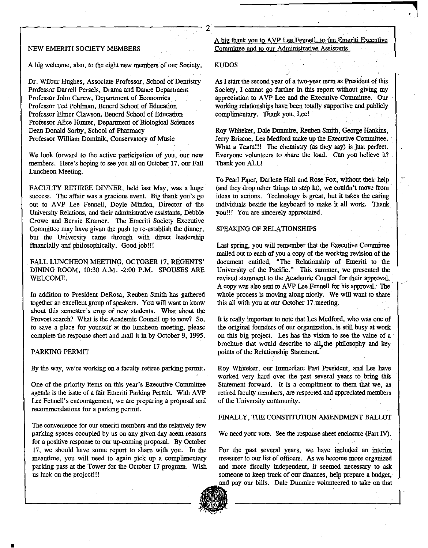#### NEW EMERITI SOCIETY MEMBERS

A big welcome, also, to the eight new members of our Society,

Dr. Wilbur Hughes, Associate Professor, School of Dentistry Professor Darrell Persels, Drama and Dance Department Professor John Carew, Department of Economics Professor Ted Pohlman, Benerd School of Education Professor Elmer Clawson, Benerd School of Education Professor Alice Hunter, Department of Biological Sciences Dean Donald Sorby, School of Pharmacy Professor William Dominik, Conservatory of Music

We look forward to the active participation of you, our new members. Here's hoping to see you all on October 17, our Fall Luncheon Meeting.

FACULTY RETIREE DINNER, held last May, was a huge success. The affair was a gracious event. Big thank you's go out to AVP Lee Fennell, Doyle Minden, Director of the University Relations, and their administrative assistants, Debbie Crowe and Bernie Kramer. The Emeriti Society Executive Committee may have given the push to re-establish the dinner, but the University came through with direct leadership financially and philosophically. Good job!!!

FALL LUNCHEON MEETING, OCTOBER 17, REGENTS' DINING ROOM, 10:30 A.M. -2:00 P.M. SPOUSES ARE WELCOME.

In addition to President DeRosa, Reuben Smith has gathered together an excellent group of speakers. You will want to know about this semester's crop of new students. What about the Provost search? What is the Academic Council up to now? So, to save a place for yourself at the luncheon meeting, please complete the response sheet and mail it in by October 9, 1995.

#### PARKING PERMIT

By the way, we're working on a faculty retiree parking permit.

One of the priority items on this year's Executive Committee agenda is the issue of a fair Emeriti Parking Permit. With A VP Lee Fennell's encouragement, we are preparing a proposal and recommendations for a parking permit.

The convenience for our emeriti members and the relatively few parking spaces occupied by us on any given day seem reasons for a positive response to our up-coming proposal. By October 17, we should have some report to share with you. In the meantime, you will need to again pick up a complimentary parking pass at the Tower for the October 17 program. Wish us luck on the project!!!

A big thank you to AVP Lee Fennell, to the Emeriti Executive Committee and to our Administrative Assistants.

#### KUDOS

As I start the second year of a two-year term as President of this Society, I cannot go further in this report without giving my appreciation to A VP Lee and the Executive Committee. Our working relationships have been totally supportive and publicly complimentary. Thank you, Lee!

Roy Whiteker, Dale Dunmire, Reuben Smith, George Hankins, Jerry Briscoe, Les Medford make up the Executive Committee. What a Team!!! The chemistry (as they say) is just perfect. Everyone volunteers to share the load. Can you believe it? Thank you ALL!

To Pearl Piper, Darlene Hall and Rose Fox, without their help (and they drop other things to step in), we couldn't move from ideas to actions. Teclmology is great, but it takes the caring individuals beside the keyboard to make it all work. Thank you!!! You are sincerely appreciated.

#### SPEAKING OF RELATIONSHIPS

Last spring, you will remember that the Executive Committee mailed out to each of you a copy of the working revision of the document entitled, "The Relationship of Emeriti to the University of the Pacific." This summer, we presented the revised statement to the Academic Council for their approval. A copy was also sent to A VP Lee Fennell for his approval. The whole process is moving along nicely. We will want to share this all with you at our October 17 meeting.

It is really important to note that Les Medford, who was one of the original founders of our organization, is still busy at work on this big project. Les has the vision to see the value of a brochure that would describe to all, the philosophy and key points of the Relationship Statement.

Roy Whiteker, our Immediate Past President, and Les have worked very hard over the past several years to bring this Statement forward. It is a compliment to them that we, as retired faculty members, are respected and appreciated members of the University community.

#### FINALLY, THE CONSTITUTION AMENDMENT BALLOT

We need your vote. See the response sheet enclosure (Part IV).

For the past several years, we have included an interim treasurer to our list of officers. As we become more organized and more fiscally independent, it seemed necessary to ask someone to keep track of our finances, help prepare a budget, and pay our bills. Dale Dunmire volunteered to take on that



.------------------------------2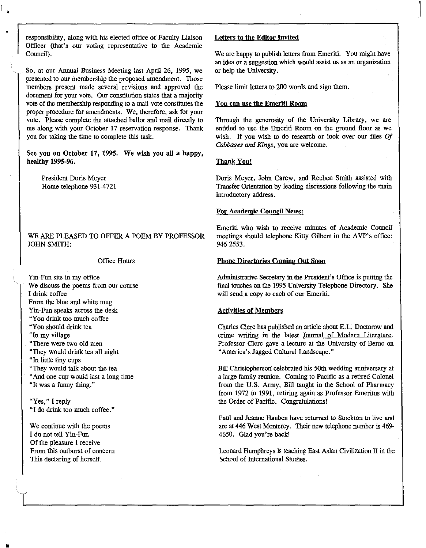responsibility, along with his elected office of Faculty Liaison Officer (that's our voting representative to the Academic Council).

So, at our Annual Business Meeting last April 26, 1995, we presented to our membership the proposed amendment. Those members present made several revisions and approved the document for your vote. Our constitution states that a majority vote of the membership responding to a mail vote constitutes the proper procedure for amendments. We, therefore, ask for your vote. Please complete the attached ballot and mail directly to me along with your October 17 reservation response. Thank you for taking the time to complete this task.

See you on October 17, 1995. We wish you all a happy, healthy 1995-96.

President Doris Meyer Home telephone 931-4721

r •

•

WE ARE PLEASED TO OFFER A POEM BY PROFESSOR JOHN SMITH:

#### Office Hours

Yin-Fun sits in my office We discuss the poems from our course I drink coffee From the blue and white mug Yin-Fun speaks across the desk "You drink too much coffee "Yon should drink tea "In my village **"There were two old men**  "They would drink tea all night "In little tiny cups "They would talk about the tea "And one cup would last a long time

"It was a funny thing."

**"Yes," I reply**  "I do drink too much coffee."

We continue with the poems I do not tell Yin-Fun Of the pleasure I receive From this outburst of concern This declaring of herself.

•

#### Letters to the Editor Invited

We are happy to publish letters from Emeriti. You might have an idea or a suggestion which would assist us as an organization or help the University.

Please limit letters to 200 words and sign them.

#### You can use the Emeriti Room

Through the generosity of the University Library, we are entitled to use the Emeriti Room on the ground floor as we wish. If you wish to do research or look over our files  $\textit{Of}$ *Cabbages and Kings,* you are welcome.

#### Thank You!

Doris Meyer, John Carew, and Reuben Smith assisted with Transfer Orientation by leading discussions following the main introductory address.

#### For Academic Council News:

Emeriti who wish to receive minutes of Academic Council meetings should telephone Kitty Gilbert in the A VP's office: 946-2553.

#### Phone Directories Coming Out Soon

Administrative Secretary in the President's Office-is putting the final touches on the 1995 University Telephone Directory. She will send a copy to each of our Emeriti.

#### Activities of Members

Charles Clerc has published an article about E.L. Doctorow and crime writing in the latest Journal of Modern Literature. Professor Clerc gave a lecture at the University of Berne on "America's Jagged Cultural Landscape."

Bill Christopherson celebrated his 50th wedding anniversary at a iarge family reunion. Coming to Pacific as a retired Colonel from the U.S. Army, Bill taught in the School of Pharmacy from 1972 to 1991, retiring again as Professor Emeritus with the Order of Pacific. Congratulations!

Paul and Jeanne Hauben have returned to Stockton to live and are at 446 West Monterey. Their new telephone number is 469- 4650. Glad you're back!

Leonard Humphreys is teaching East Asian Civilization II in the School of International Studies .